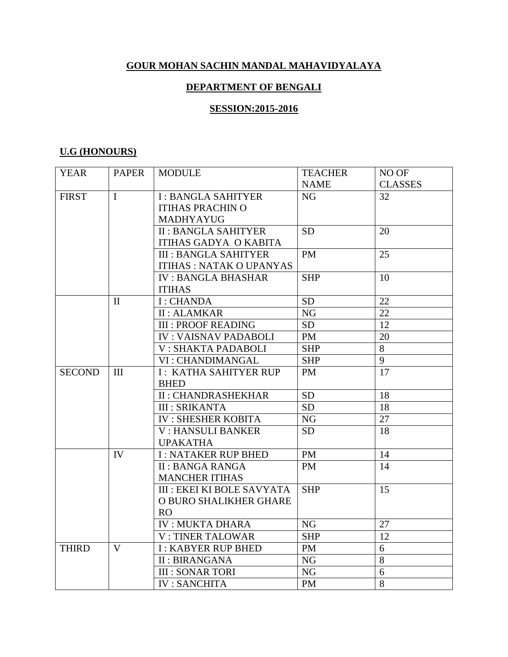## **GOUR MOHAN SACHIN MANDAL MAHAVIDYALAYA**

### **DEPARTMENT OF BENGALI**

#### **SESSION:2015-2016**

### **U.G (HONOURS)**

| <b>YEAR</b>   | <b>PAPER</b> | <b>MODULE</b>                     | <b>TEACHER</b> | NO OF          |
|---------------|--------------|-----------------------------------|----------------|----------------|
|               |              |                                   | <b>NAME</b>    | <b>CLASSES</b> |
| <b>FIRST</b>  | $\mathbf I$  | <b>I: BANGLA SAHITYER</b>         | <b>NG</b>      | 32             |
|               |              | <b>ITIHAS PRACHIN O</b>           |                |                |
|               |              | MADHYAYUG                         |                |                |
|               |              | <b>II: BANGLA SAHITYER</b>        | <b>SD</b>      | 20             |
|               |              | <b>ITIHAS GADYA O KABITA</b>      |                |                |
|               |              | <b>III : BANGLA SAHITYER</b>      | <b>PM</b>      | 25             |
|               |              | <b>ITIHAS: NATAK O UPANYAS</b>    |                |                |
|               |              | <b>IV: BANGLA BHASHAR</b>         | <b>SHP</b>     | 10             |
|               |              | <b>ITIHAS</b>                     |                |                |
|               | $\mathbf{I}$ | I: CHANDA                         | <b>SD</b>      | 22             |
|               |              | <b>II: ALAMKAR</b>                | <b>NG</b>      | 22             |
|               |              | <b>III : PROOF READING</b>        | <b>SD</b>      | 12             |
|               |              | <b>IV: VAISNAV PADABOLI</b>       | PM             | 20             |
|               |              | V: SHAKTA PADABOLI                | <b>SHP</b>     | 8              |
|               |              | VI : CHANDIMANGAL                 | <b>SHP</b>     | 9              |
| <b>SECOND</b> | III          | <b>I: KATHA SAHITYER RUP</b>      | <b>PM</b>      | 17             |
|               |              | <b>BHED</b>                       |                |                |
|               |              | <b>II: CHANDRASHEKHAR</b>         | <b>SD</b>      | 18             |
|               |              | <b>III: SRIKANTA</b>              | <b>SD</b>      | 18             |
|               |              | <b>IV: SHESHER KOBITA</b>         | NG             | 27             |
|               |              | <b>V: HANSULI BANKER</b>          | <b>SD</b>      | 18             |
|               |              | <b>UPAKATHA</b>                   |                |                |
|               | IV           | <b>I: NATAKER RUP BHED</b>        | <b>PM</b>      | 14             |
|               |              | <b>II: BANGA RANGA</b>            | <b>PM</b>      | 14             |
|               |              | <b>MANCHER ITIHAS</b>             |                |                |
|               |              | <b>III : EKEI KI BOLE SAVYATA</b> | <b>SHP</b>     | 15             |
|               |              | O BURO SHALIKHER GHARE            |                |                |
|               |              | <b>RO</b>                         |                |                |
|               |              | <b>IV: MUKTA DHARA</b>            | <b>NG</b>      | 27             |
|               |              | <b>V: TINER TALOWAR</b>           | <b>SHP</b>     | 12             |
| <b>THIRD</b>  | $\mathbf V$  | <b>I: KABYER RUP BHED</b>         | PM             | 6              |
|               |              | <b>II: BIRANGANA</b>              | <b>NG</b>      | 8              |
|               |              | <b>III : SONAR TORI</b>           | <b>NG</b>      | 6              |
|               |              | <b>IV: SANCHITA</b>               | <b>PM</b>      | 8              |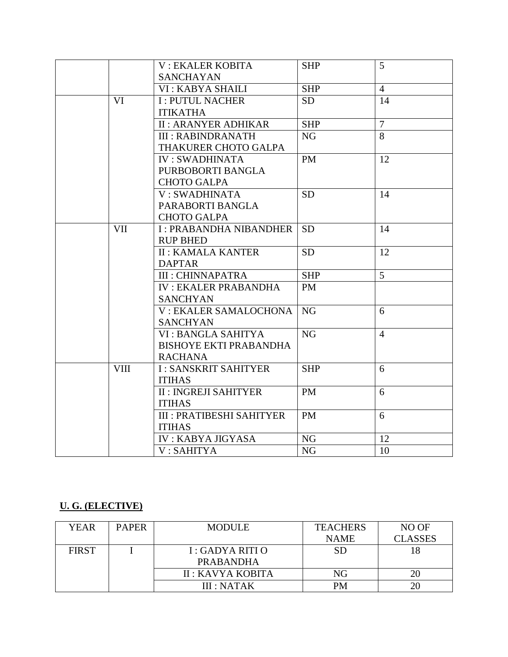|             | <b>V: EKALER KOBITA</b>          | <b>SHP</b>     | 5              |
|-------------|----------------------------------|----------------|----------------|
|             | <b>SANCHAYAN</b>                 |                |                |
|             | VI : KABYA SHAILI                | <b>SHP</b>     | $\overline{4}$ |
| VI          | <b>I: PUTUL NACHER</b>           | <b>SD</b>      | 14             |
|             | <b>ITIKATHA</b>                  |                |                |
|             | <b>II: ARANYER ADHIKAR</b>       | <b>SHP</b>     | $\tau$         |
|             | <b>III: RABINDRANATH</b>         | NG             | 8              |
|             | THAKURER CHOTO GALPA             |                |                |
|             | <b>IV: SWADHINATA</b>            | <b>PM</b>      | 12             |
|             | PURBOBORTI BANGLA                |                |                |
|             | <b>CHOTO GALPA</b>               |                |                |
|             | V: SWADHINATA                    | <b>SD</b>      | 14             |
|             | PARABORTI BANGLA                 |                |                |
|             | <b>CHOTO GALPA</b>               |                |                |
| <b>VII</b>  | <b>I: PRABANDHA NIBANDHER</b>    | <b>SD</b>      | 14             |
|             | <b>RUP BHED</b>                  |                |                |
|             | <b>II: KAMALA KANTER</b>         | <b>SD</b>      | 12             |
|             | <b>DAPTAR</b>                    |                |                |
|             | <b>III : CHINNAPATRA</b>         | <b>SHP</b>     | 5              |
|             | <b>IV: EKALER PRABANDHA</b>      | <b>PM</b>      |                |
|             | <b>SANCHYAN</b>                  |                |                |
|             | V: EKALER SAMALOCHONA            | <b>NG</b>      | 6              |
|             | <b>SANCHYAN</b>                  |                |                |
|             | VI: BANGLA SAHITYA               | NG             | $\overline{4}$ |
|             | <b>BISHOYE EKTI PRABANDHA</b>    |                |                |
|             | <b>RACHANA</b>                   |                |                |
| <b>VIII</b> | <b>I: SANSKRIT SAHITYER</b>      | <b>SHP</b>     | 6              |
|             | <b>ITIHAS</b>                    |                |                |
|             | <b>II: INGREJI SAHITYER</b>      | <b>PM</b>      | 6              |
|             | <b>ITIHAS</b>                    |                |                |
|             | <b>III : PRATIBESHI SAHITYER</b> | <b>PM</b>      | 6              |
|             | <b>ITIHAS</b>                    |                |                |
|             | <b>IV: KABYA JIGYASA</b>         | <b>NG</b>      | 12             |
|             | V: SAHITYA                       | N <sub>G</sub> | 10             |

## **U. G. (ELECTIVE)**

| YEAR         | <b>PAPER</b> | <b>MODULE</b>     | <b>TEACHERS</b> | NO OF          |
|--------------|--------------|-------------------|-----------------|----------------|
|              |              |                   | <b>NAME</b>     | <b>CLASSES</b> |
| <b>FIRST</b> |              | $I: GADYA$ RITI O | <b>SD</b>       | 8              |
|              |              | <b>PRABANDHA</b>  |                 |                |
|              |              | II : KAVYA KOBITA | NG              | 20             |
|              |              | III : NATAK       | PM              | 20             |